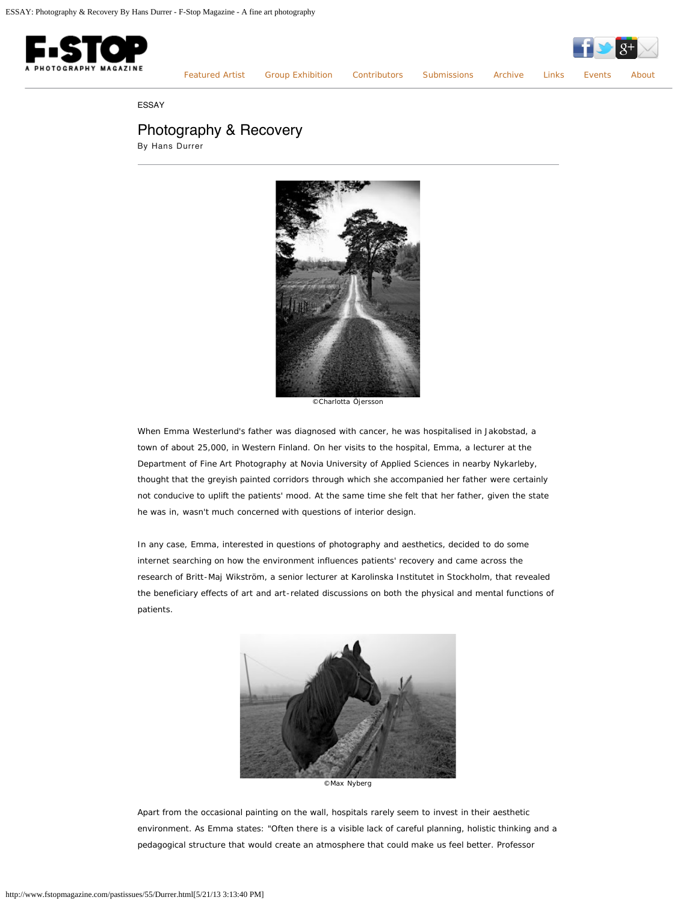

[Featured Artist](http://www.fstopmagazine.com/pastissues/55/featured.html) [Group Exhibition](http://www.fstopmagazine.com/pastissues/55/groupexhibition.html) [Contributors](http://www.fstopmagazine.com/pastissues/55/contributors.html) [Submissions](http://www.fstopmagazine.com/pastissues/55/submissions.html) [Archive](http://www.fstopmagazine.com/pastissues/55/archive.html) [Links](http://www.fstopmagazine.com/pastissues/55/links.html) [Events](http://www.fstopmagazine.com/blog/) [About](http://www.fstopmagazine.com/pastissues/55/about.html)

ESSAY

## Photography & Recovery

By Hans Durrer



©Charlotta Öjersson

When Emma Westerlund's father was diagnosed with cancer, he was hospitalised in Jakobstad, a town of about 25,000, in Western Finland. On her visits to the hospital, Emma, a lecturer at the Department of Fine Art Photography at Novia University of Applied Sciences in nearby Nykarleby, thought that the greyish painted corridors through which she accompanied her father were certainly not conducive to uplift the patients' mood. At the same time she felt that her father, given the state he was in, wasn't much concerned with questions of interior design.

In any case, Emma, interested in questions of photography and aesthetics, decided to do some internet searching on how the environment influences patients' recovery and came across the research of Britt-Maj Wikström, a senior lecturer at Karolinska Institutet in Stockholm, that revealed the beneficiary effects of art and art-related discussions on both the physical and mental functions of patients.



©Max Nyberg

Apart from the occasional painting on the wall, hospitals rarely seem to invest in their aesthetic environment. As Emma states: "Often there is a visible lack of careful planning, holistic thinking and a pedagogical structure that would create an atmosphere that could make us feel better. Professor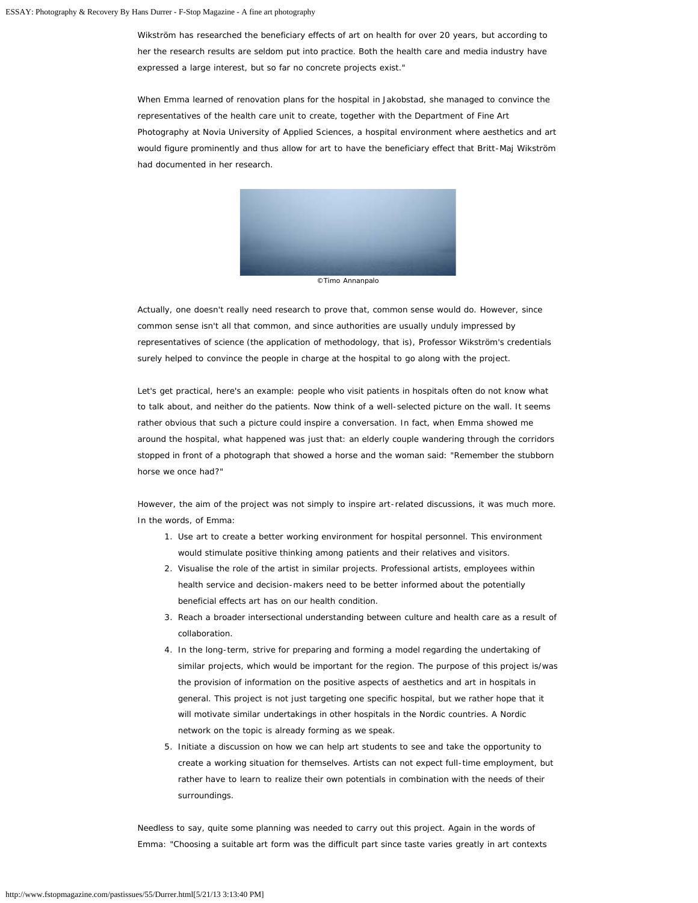Wikström has researched the beneficiary effects of art on health for over 20 years, but according to her the research results are seldom put into practice. Both the health care and media industry have expressed a large interest, but so far no concrete projects exist."

When Emma learned of renovation plans for the hospital in Jakobstad, she managed to convince the representatives of the health care unit to create, together with the Department of Fine Art Photography at Novia University of Applied Sciences, a hospital environment where aesthetics and art would figure prominently and thus allow for art to have the beneficiary effect that Britt-Maj Wikström had documented in her research.



Actually, one doesn't really need research to prove that, common sense would do. However, since common sense isn't all that common, and since authorities are usually unduly impressed by representatives of science (the application of methodology, that is), Professor Wikström's credentials surely helped to convince the people in charge at the hospital to go along with the project.

Let's get practical, here's an example: people who visit patients in hospitals often do not know what to talk about, and neither do the patients. Now think of a well-selected picture on the wall. It seems rather obvious that such a picture could inspire a conversation. In fact, when Emma showed me around the hospital, what happened was just that: an elderly couple wandering through the corridors stopped in front of a photograph that showed a horse and the woman said: "Remember the stubborn horse we once had?"

However, the aim of the project was not simply to inspire art-related discussions, it was much more. In the words, of Emma:

- 1. Use art to create a better working environment for hospital personnel. This environment would stimulate positive thinking among patients and their relatives and visitors.
- 2. Visualise the role of the artist in similar projects. Professional artists, employees within health service and decision-makers need to be better informed about the potentially beneficial effects art has on our health condition.
- 3. Reach a broader intersectional understanding between culture and health care as a result of collaboration.
- 4. In the long-term, strive for preparing and forming a model regarding the undertaking of similar projects, which would be important for the region. The purpose of this project is/was the provision of information on the positive aspects of aesthetics and art in hospitals in general. This project is not just targeting one specific hospital, but we rather hope that it will motivate similar undertakings in other hospitals in the Nordic countries. A Nordic network on the topic is already forming as we speak.
- 5. Initiate a discussion on how we can help art students to see and take the opportunity to create a working situation for themselves. Artists can not expect full-time employment, but rather have to learn to realize their own potentials in combination with the needs of their surroundings.

Needless to say, quite some planning was needed to carry out this project. Again in the words of Emma: "Choosing a suitable art form was the difficult part since taste varies greatly in art contexts